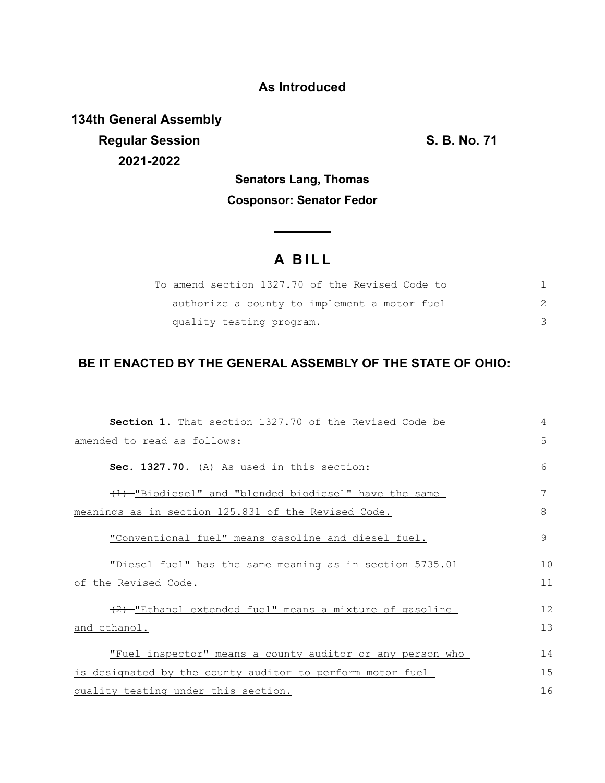## **As Introduced**

**134th General Assembly Regular Session S. B. No. 71 2021-2022**

**Senators Lang, Thomas Cosponsor: Senator Fedor**

## **A B I L L**

<u> The Common State Sta</u>te

| To amend section 1327.70 of the Revised Code to |  |
|-------------------------------------------------|--|
| authorize a county to implement a motor fuel    |  |
| quality testing program.                        |  |

## **BE IT ENACTED BY THE GENERAL ASSEMBLY OF THE STATE OF OHIO:**

| <b>Section 1.</b> That section 1327.70 of the Revised Code be                 | 4            |
|-------------------------------------------------------------------------------|--------------|
| amended to read as follows:                                                   | 5            |
| Sec. 1327.70. (A) As used in this section:                                    | 6            |
| $\left(\frac{1}{1}\right)$ -"Biodiesel" and "blended biodiesel" have the same | 7            |
| meanings as in section 125.831 of the Revised Code.                           | 8            |
| "Conventional fuel" means gasoline and diesel fuel.                           | $\mathsf{Q}$ |
| "Diesel fuel" has the same meaning as in section 5735.01                      | 10           |
| of the Revised Code.                                                          | 11           |
| (2) "Ethanol extended fuel" means a mixture of gasoline                       | 12           |
| and ethanol.                                                                  | 13           |
| "Fuel inspector" means a county auditor or any person who                     | 14           |
| is designated by the county auditor to perform motor fuel                     | 15           |
| quality testing under this section.                                           | 16           |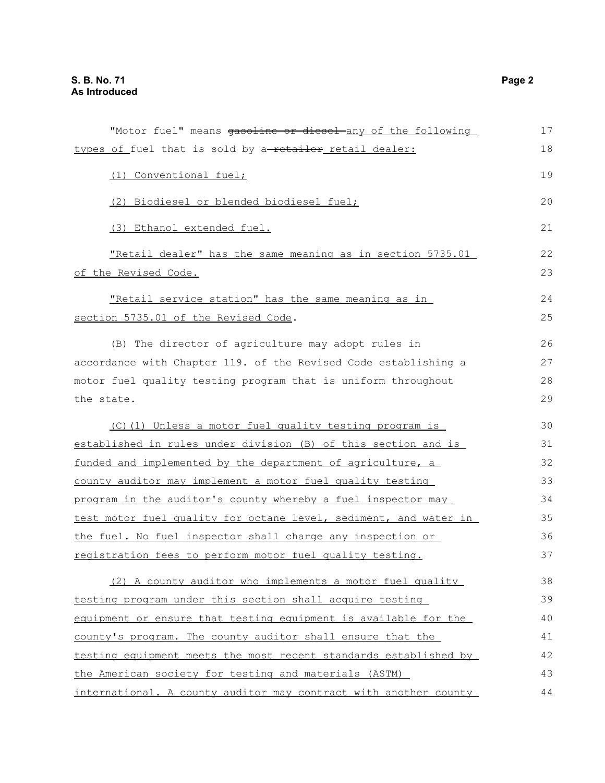| 17 |
|----|
| 18 |
| 19 |
| 20 |
| 21 |
| 22 |
| 23 |
| 24 |
| 25 |
| 26 |
| 27 |
| 28 |
| 29 |
|    |
| 30 |
| 31 |
| 32 |
| 33 |
| 34 |
| 35 |
| 36 |
| 37 |
| 38 |
| 39 |
| 40 |
| 41 |
| 42 |
| 43 |
| 44 |
|    |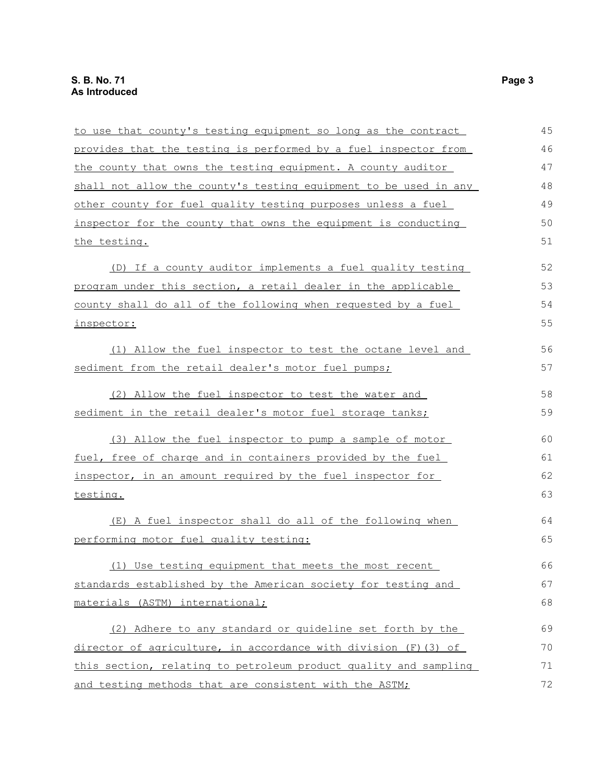| to use that county's testing equipment so long as the contract   | 45 |
|------------------------------------------------------------------|----|
| provides that the testing is performed by a fuel inspector from  | 46 |
| the county that owns the testing equipment. A county auditor     | 47 |
| shall not allow the county's testing equipment to be used in any | 48 |
| other county for fuel quality testing purposes unless a fuel     | 49 |
| inspector for the county that owns the equipment is conducting   | 50 |
| the testing.                                                     | 51 |
| (D) If a county auditor implements a fuel quality testing        | 52 |
| program under this section, a retail dealer in the applicable    | 53 |
| county shall do all of the following when requested by a fuel    | 54 |
| inspector:                                                       | 55 |
| (1) Allow the fuel inspector to test the octane level and        | 56 |
| sediment from the retail dealer's motor fuel pumps;              | 57 |
| (2) Allow the fuel inspector to test the water and               | 58 |
| sediment in the retail dealer's motor fuel storage tanks;        | 59 |
| (3) Allow the fuel inspector to pump a sample of motor           | 60 |
| fuel, free of charge and in containers provided by the fuel      | 61 |
| inspector, in an amount required by the fuel inspector for       | 62 |
| testing.                                                         | 63 |
| (E) A fuel inspector shall do all of the following when          | 64 |
| performing motor fuel quality testing:                           | 65 |
| (1) Use testing equipment that meets the most recent             | 66 |
| standards established by the American society for testing and    | 67 |
| materials (ASTM) international;                                  | 68 |
| (2) Adhere to any standard or guideline set forth by the         | 69 |
| director of agriculture, in accordance with division (F) (3) of  | 70 |
| this section, relating to petroleum product quality and sampling | 71 |
| and testing methods that are consistent with the ASTM;           | 72 |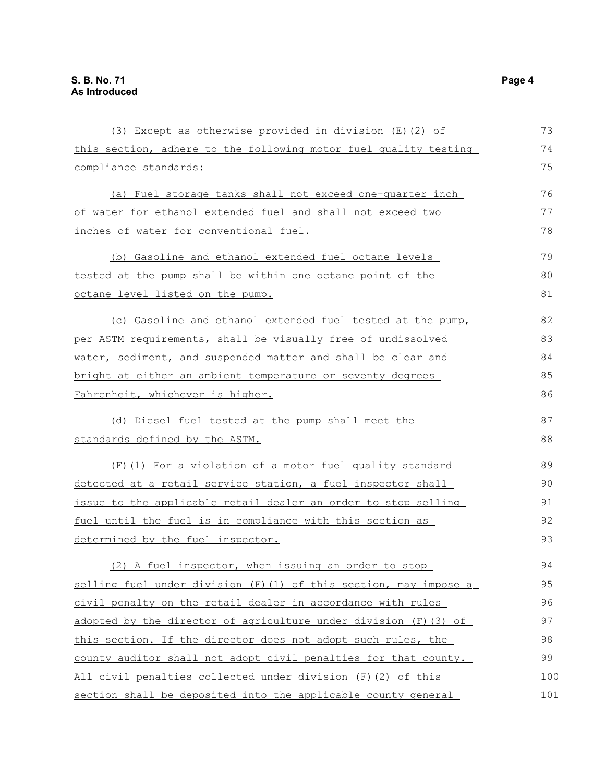| (3) Except as otherwise provided in division (E) (2) of           | 73  |
|-------------------------------------------------------------------|-----|
| this section, adhere to the following motor fuel quality testing  | 74  |
| compliance standards:                                             | 75  |
| (a) Fuel storage tanks shall not exceed one-quarter inch          | 76  |
| of water for ethanol extended fuel and shall not exceed two       | 77  |
| inches of water for conventional fuel.                            | 78  |
| (b) Gasoline and ethanol extended fuel octane levels              | 79  |
| tested at the pump shall be within one octane point of the        | 80  |
| octane level listed on the pump.                                  | 81  |
| (c) Gasoline and ethanol extended fuel tested at the pump,        | 82  |
| per ASTM requirements, shall be visually free of undissolved      | 83  |
| water, sediment, and suspended matter and shall be clear and      | 84  |
| bright at either an ambient temperature or seventy degrees        | 85  |
| Fahrenheit, whichever is higher.                                  | 86  |
| (d) Diesel fuel tested at the pump shall meet the                 | 87  |
| standards defined by the ASTM.                                    | 88  |
| (F) (1) For a violation of a motor fuel quality standard          | 89  |
| detected at a retail service station, a fuel inspector shall      | 90  |
| issue to the applicable retail dealer an order to stop selling    | 91  |
| fuel until the fuel is in compliance with this section as         | 92  |
| determined by the fuel inspector.                                 | 93  |
| (2) A fuel inspector, when issuing an order to stop               | 94  |
| selling fuel under division (F) (1) of this section, may impose a | 95  |
| civil penalty on the retail dealer in accordance with rules       | 96  |
| adopted by the director of agriculture under division (F) (3) of  | 97  |
| this section. If the director does not adopt such rules, the      | 98  |
| county auditor shall not adopt civil penalties for that county.   | 99  |
| All civil penalties collected under division (F) (2) of this      | 100 |
| section shall be deposited into the applicable county general     | 101 |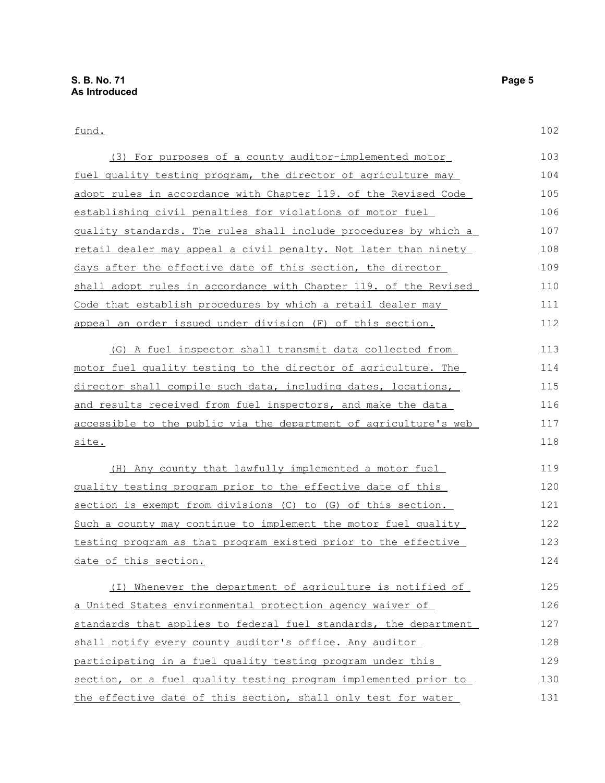fund.

102

| (3) For purposes of a county auditor-implemented motor           | 103 |
|------------------------------------------------------------------|-----|
| fuel quality testing program, the director of agriculture may    | 104 |
| adopt rules in accordance with Chapter 119. of the Revised Code  | 105 |
| establishing civil penalties for violations of motor fuel        | 106 |
| quality standards. The rules shall include procedures by which a | 107 |
| retail dealer may appeal a civil penalty. Not later than ninety  | 108 |
| days after the effective date of this section, the director      | 109 |
| shall adopt rules in accordance with Chapter 119. of the Revised | 110 |
| Code that establish procedures by which a retail dealer may      | 111 |
| appeal an order issued under division (F) of this section.       | 112 |
| (G) A fuel inspector shall transmit data collected from          | 113 |
| motor fuel quality testing to the director of agriculture. The   | 114 |
| director shall compile such data, including dates, locations,    | 115 |
| and results received from fuel inspectors, and make the data     | 116 |
| accessible to the public via the department of agriculture's web | 117 |
| <u>site.</u>                                                     | 118 |
| (H) Any county that lawfully implemented a motor fuel            | 119 |
| quality testing program prior to the effective date of this      | 120 |
| section is exempt from divisions (C) to (G) of this section.     | 121 |
| Such a county may continue to implement the motor fuel quality   | 122 |
| testing program as that program existed prior to the effective   | 123 |
| date of this section.                                            | 124 |
| (I) Whenever the department of agriculture is notified of        | 125 |
| a United States environmental protection agency waiver of        | 126 |
| standards that applies to federal fuel standards, the department | 127 |
| shall notify every county auditor's office. Any auditor          | 128 |
| participating in a fuel quality testing program under this       | 129 |
| section, or a fuel quality testing program implemented prior to  | 130 |
| the effective date of this section, shall only test for water    | 131 |
|                                                                  |     |